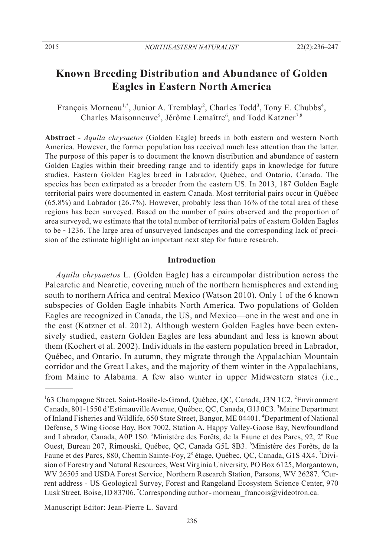# **Known Breeding Distribution and Abundance of Golden Eagles in Eastern North America**

François Morneau<sup>1,\*</sup>, Junior A. Tremblay<sup>2</sup>, Charles Todd<sup>3</sup>, Tony E. Chubbs<sup>4</sup>, Charles Maisonneuve<sup>5</sup>, Jérôme Lemaître<sup>6</sup>, and Todd Katzner<sup>7,8</sup>

**Abstract** - *Aquila chrysaetos* (Golden Eagle) breeds in both eastern and western North America. However, the former population has received much less attention than the latter. The purpose of this paper is to document the known distribution and abundance of eastern Golden Eagles within their breeding range and to identify gaps in knowledge for future studies. Eastern Golden Eagles breed in Labrador, Québec, and Ontario, Canada. The species has been extirpated as a breeder from the eastern US. In 2013, 187 Golden Eagle territorial pairs were documented in eastern Canada. Most territorial pairs occur in Québec (65.8%) and Labrador (26.7%). However, probably less than 16% of the total area of these regions has been surveyed. Based on the number of pairs observed and the proportion of area surveyed, we estimate that the total number of territorial pairs of eastern Golden Eagles to be ~1236. The large area of unsurveyed landscapes and the corresponding lack of precision of the estimate highlight an important next step for future research.

#### **Introduction**

*Aquila chrysaetos* L. (Golden Eagle) has a circumpolar distribution across the Palearctic and Nearctic, covering much of the northern hemispheres and extending south to northern Africa and central Mexico (Watson 2010). Only 1 of the 6 known subspecies of Golden Eagle inhabits North America. Two populations of Golden Eagles are recognized in Canada, the US, and Mexico—one in the west and one in the east (Katzner et al. 2012). Although western Golden Eagles have been extensively studied, eastern Golden Eagles are less abundant and less is known about them (Kochert et al. 2002). Individuals in the eastern population breed in Labrador, Québec, and Ontario. In autumn, they migrate through the Appalachian Mountain corridor and the Great Lakes, and the majority of them winter in the Appalachians, from Maine to Alabama. A few also winter in upper Midwestern states (i.e.,

Manuscript Editor: Jean-Pierre L. Savard

<sup>&</sup>lt;sup>1</sup>63 Champagne Street, Saint-Basile-le-Grand, Québec, QC, Canada, J3N 1C2. <sup>2</sup>Environment Canada, 801-1550 d'Estimauville Avenue, Québec, QC, Canada, G1J 0C3. <sup>3</sup>Maine Department of Inland Fisheries and Wildlife, 650 State Street, Bangor, ME 04401. <sup>4</sup>Department of National Defense, 5 Wing Goose Bay, Box 7002, Station A, Happy Valley-Goose Bay, Newfoundland and Labrador, Canada, A0P 1S0. 5Ministère des Forêts, de la Faune et des Parcs, 92, 2<sup>e</sup> Rue Ouest, Bureau 207, Rimouski, Québec, QC, Canada G5L 8B3. 6 Ministère des Forêts, de la Faune et des Parcs, 880, Chemin Sainte-Foy, 2<sup>e</sup> étage, Québec, QC, Canada, G1S 4X4. <sup>7</sup>Division of Forestry and Natural Resources, West Virginia University, PO Box 6125, Morgantown, WV 26505 and USDA Forest Service, Northern Research Station, Parsons, WV 26287. **<sup>8</sup>** Current address - US Geological Survey, Forest and Rangeland Ecosystem Science Center, 970 Lusk Street, Boise, ID 83706. \* Corresponding author - morneau\_francois@videotron.ca.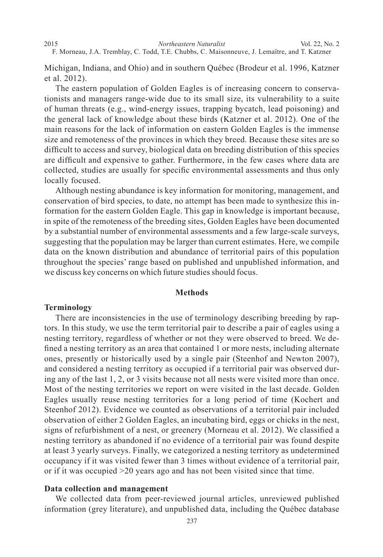*Northeastern Naturalist* Vol. 22, No. 2

F. Morneau, J.A. Tremblay, C. Todd, T.E. Chubbs, C. Maisonneuve, J. Lemaître, and T. Katzner

Michigan, Indiana, and Ohio) and in southern Québec (Brodeur et al. 1996, Katzner et al. 2012).

 The eastern population of Golden Eagles is of increasing concern to conservationists and managers range-wide due to its small size, its vulnerability to a suite of human threats (e.g., wind-energy issues, trapping bycatch, lead poisoning) and the general lack of knowledge about these birds (Katzner et al. 2012). One of the main reasons for the lack of information on eastern Golden Eagles is the immense size and remoteness of the provinces in which they breed. Because these sites are so difficult to access and survey, biological data on breeding distribution of this species are difficult and expensive to gather. Furthermore, in the few cases where data are collected, studies are usually for specific environmental assessments and thus only locally focused.

 Although nesting abundance is key information for monitoring, management, and conservation of bird species, to date, no attempt has been made to synthesize this information for the eastern Golden Eagle. This gap in knowledge is important because, in spite of the remoteness of the breeding sites, Golden Eagles have been documented by a substantial number of environmental assessments and a few large-scale surveys, suggesting that the population may be larger than current estimates. Here, we compile data on the known distribution and abundance of territorial pairs of this population throughout the species' range based on published and unpublished information, and we discuss key concerns on which future studies should focus.

#### **Methods**

#### **Terminology**

2015

 There are inconsistencies in the use of terminology describing breeding by raptors. In this study, we use the term territorial pair to describe a pair of eagles using a nesting territory, regardless of whether or not they were observed to breed. We defined a nesting territory as an area that contained 1 or more nests, including alternate ones, presently or historically used by a single pair (Steenhof and Newton 2007), and considered a nesting territory as occupied if a territorial pair was observed during any of the last 1, 2, or 3 visits because not all nests were visited more than once. Most of the nesting territories we report on were visited in the last decade. Golden Eagles usually reuse nesting territories for a long period of time (Kochert and Steenhof 2012). Evidence we counted as observations of a territorial pair included observation of either 2 Golden Eagles, an incubating bird, eggs or chicks in the nest, signs of refurbishment of a nest, or greenery (Morneau et al. 2012). We classified a nesting territory as abandoned if no evidence of a territorial pair was found despite at least 3 yearly surveys. Finally, we categorized a nesting territory as undetermined occupancy if it was visited fewer than 3 times without evidence of a territorial pair, or if it was occupied >20 years ago and has not been visited since that time.

## **Data collection and management**

 We collected data from peer-reviewed journal articles, unreviewed published information (grey literature), and unpublished data, including the Québec database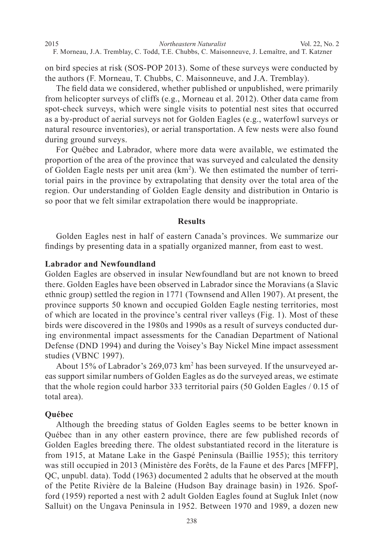| 2015 | Northeastern Naturalist                                                                      | Vol. 22, No. 2 |
|------|----------------------------------------------------------------------------------------------|----------------|
|      | F. Morneau, J.A. Tremblay, C. Todd, T.E. Chubbs, C. Maisonneuve, J. Lemaître, and T. Katzner |                |

on bird species at risk (SOS-POP 2013). Some of these surveys were conducted by the authors (F. Morneau, T. Chubbs, C. Maisonneuve, and J.A. Tremblay).

 The field data we considered, whether published or unpublished, were primarily from helicopter surveys of cliffs (e.g., Morneau et al. 2012). Other data came from spot-check surveys, which were single visits to potential nest sites that occurred as a by-product of aerial surveys not for Golden Eagles (e.g., waterfowl surveys or natural resource inventories), or aerial transportation. A few nests were also found during ground surveys.

 For Québec and Labrador, where more data were available, we estimated the proportion of the area of the province that was surveyed and calculated the density of Golden Eagle nests per unit area (km<sup>2</sup>). We then estimated the number of territorial pairs in the province by extrapolating that density over the total area of the region. Our understanding of Golden Eagle density and distribution in Ontario is so poor that we felt similar extrapolation there would be inappropriate.

#### **Results**

 Golden Eagles nest in half of eastern Canada's provinces. We summarize our findings by presenting data in a spatially organized manner, from east to west.

## **Labrador and Newfoundland**

Golden Eagles are observed in insular Newfoundland but are not known to breed there. Golden Eagles have been observed in Labrador since the Moravians (a Slavic ethnic group) settled the region in 1771 (Townsend and Allen 1907). At present, the province supports 50 known and occupied Golden Eagle nesting territories, most of which are located in the province's central river valleys (Fig. 1). Most of these birds were discovered in the 1980s and 1990s as a result of surveys conducted during environmental impact assessments for the Canadian Department of National Defense (DND 1994) and during the Voisey's Bay Nickel Mine impact assessment studies (VBNC 1997).

About 15% of Labrador's 269,073 km<sup>2</sup> has been surveyed. If the unsurveyed areas support similar numbers of Golden Eagles as do the surveyed areas, we estimate that the whole region could harbor 333 territorial pairs (50 Golden Eagles / 0.15 of total area).

## **Québec**

 Although the breeding status of Golden Eagles seems to be better known in Québec than in any other eastern province, there are few published records of Golden Eagles breeding there. The oldest substantiated record in the literature is from 1915, at Matane Lake in the Gaspé Peninsula (Baillie 1955); this territory was still occupied in 2013 (Ministère des Forêts, de la Faune et des Parcs [MFFP], QC, unpubl. data). Todd (1963) documented 2 adults that he observed at the mouth of the Petite Rivière de la Baleine (Hudson Bay drainage basin) in 1926. Spofford (1959) reported a nest with 2 adult Golden Eagles found at Sugluk Inlet (now Salluit) on the Ungava Peninsula in 1952. Between 1970 and 1989, a dozen new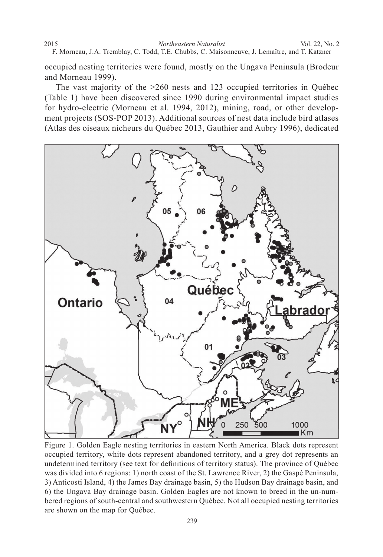*Northeastern Naturalist* Vol. 22, No. 2 F. Morneau, J.A. Tremblay, C. Todd, T.E. Chubbs, C. Maisonneuve, J. Lemaître, and T. Katzner 2015

occupied nesting territories were found, mostly on the Ungava Peninsula (Brodeur and Morneau 1999).

 The vast majority of the >260 nests and 123 occupied territories in Québec (Table 1) have been discovered since 1990 during environmental impact studies for hydro-electric (Morneau et al. 1994, 2012), mining, road, or other development projects (SOS-POP 2013). Additional sources of nest data include bird atlases (Atlas des oiseaux nicheurs du Québec 2013, Gauthier and Aubry 1996), dedicated



Figure 1. Golden Eagle nesting territories in eastern North America. Black dots represent occupied territory, white dots represent abandoned territory, and a grey dot represents an undetermined territory (see text for definitions of territory status). The province of Québec was divided into 6 regions: 1) north coast of the St. Lawrence River, 2) the Gaspé Peninsula, 3) Anticosti Island, 4) the James Bay drainage basin, 5) the Hudson Bay drainage basin, and 6) the Ungava Bay drainage basin. Golden Eagles are not known to breed in the un-numbered regions of south-central and southwestern Québec. Not all occupied nesting territories are shown on the map for Québec.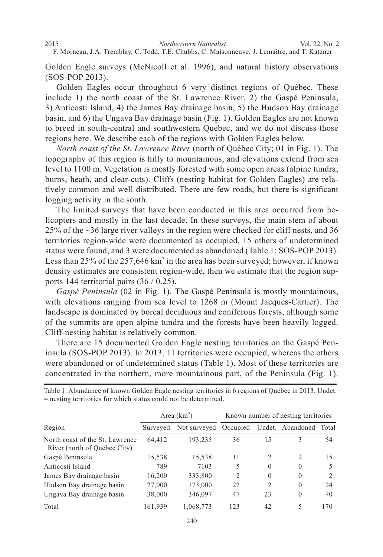F. Morneau, J.A. Tremblay, C. Todd, T.E. Chubbs, C. Maisonneuve, J. Lemaître, and T. Katzner

Golden Eagle surveys (McNicoll et al. 1996), and natural history observations (SOS-POP 2013).

 Golden Eagles occur throughout 6 very distinct regions of Québec. These include 1) the north coast of the St. Lawrence River, 2) the Gaspé Peninsula, 3) Anticosti Island, 4) the James Bay drainage basin, 5) the Hudson Bay drainage basin, and 6) the Ungava Bay drainage basin (Fig. 1). Golden Eagles are not known to breed in south-central and southwestern Québec, and we do not discuss those regions here. We describe each of the regions with Golden Eagles below.

 *North coast of the St. Lawrence River* (north of Québec City; 01 in Fig. 1). The topography of this region is hilly to mountainous, and elevations extend from sea level to 1100 m. Vegetation is mostly forested with some open areas (alpine tundra, burns, heath, and clear-cuts). Cliffs (nesting habitat for Golden Eagles) are relatively common and well distributed. There are few roads, but there is significant logging activity in the south.

 The limited surveys that have been conducted in this area occurred from helicopters and mostly in the last decade. In these surveys, the main stem of about 25% of the ~36 large river valleys in the region were checked for cliff nests, and 36 territories region-wide were documented as occupied, 15 others of undetermined status were found, and 3 were documented as abandoned (Table 1; SOS-POP 2013). Less than 25% of the 257,646 km<sup>2</sup> in the area has been surveyed; however, if known density estimates are consistent region-wide, then we estimate that the region supports 144 territorial pairs (36 / 0.25).

*Gaspé Peninsula* (02 in Fig. 1). The Gaspé Peninsula is mostly mountainous, with elevations ranging from sea level to 1268 m (Mount Jacques-Cartier). The landscape is dominated by boreal deciduous and coniferous forests, although some of the summits are open alpine tundra and the forests have been heavily logged. Cliff-nesting habitat is relatively common.

 There are 15 documented Golden Eagle nesting territories on the Gaspé Peninsula (SOS-POP 2013). In 2013, 11 territories were occupied, whereas the others were abandoned or of undetermined status (Table 1). Most of these territories are concentrated in the northern, more mountainous part, of the Peninsula (Fig. 1).

|                                                                 | Area $(km^2)$ |                       | Known number of nesting territories |          |                  |                               |
|-----------------------------------------------------------------|---------------|-----------------------|-------------------------------------|----------|------------------|-------------------------------|
| Region                                                          | Surveyed      | Not surveyed Occupied |                                     |          | Undet. Abandoned | Total                         |
| North coast of the St. Lawrence<br>River (north of Québec City) | 64.412        | 193,235               | 36                                  | 15       | 3                | 54                            |
| Gaspé Peninsula                                                 | 15,538        | 15,538                | 11                                  | 2        | $\overline{2}$   | 15                            |
| Anticosti Island                                                | 789           | 7103                  | 5                                   | $\Omega$ | $\theta$         |                               |
| James Bay drainage basin                                        | 16,200        | 333,800               | $\mathfrak{D}$                      | $\theta$ | $\theta$         | $\mathfrak{D}_{\mathfrak{p}}$ |
| Hudson Bay drainage basin                                       | 27,000        | 173,000               | 22                                  | 2        | $\theta$         | 24                            |
| Ungava Bay drainage basin                                       | 38,000        | 346,097               | 47                                  | 23       | $\theta$         | 70                            |
| Total                                                           | 161,939       | 1,068,773             | 123                                 | 42       | 5                | 170                           |

Table 1. Abundance of known Golden Eagle nesting territories in 6 regions of Québec in 2013. Undet. = nesting territories for which status could not be determined.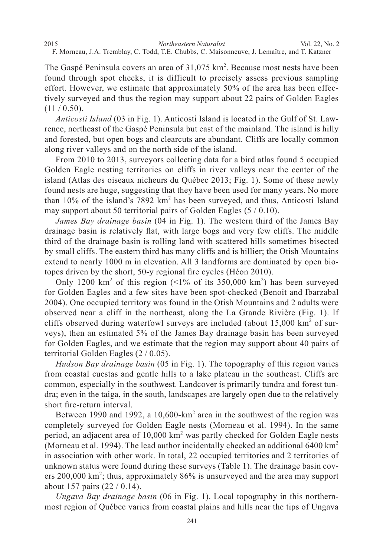*Northeastern Naturalist* Vol. 22, No. 2

2015

F. Morneau, J.A. Tremblay, C. Todd, T.E. Chubbs, C. Maisonneuve, J. Lemaître, and T. Katzner

The Gaspé Peninsula covers an area of  $31,075$  km<sup>2</sup>. Because most nests have been found through spot checks, it is difficult to precisely assess previous sampling effort. However, we estimate that approximately 50% of the area has been effectively surveyed and thus the region may support about 22 pairs of Golden Eagles  $(11 / 0.50)$ .

 *Anticosti Island* (03 in Fig. 1). Anticosti Island is located in the Gulf of St. Lawrence, northeast of the Gaspé Peninsula but east of the mainland. The island is hilly and forested, but open bogs and clearcuts are abundant. Cliffs are locally common along river valleys and on the north side of the island.

 From 2010 to 2013, surveyors collecting data for a bird atlas found 5 occupied Golden Eagle nesting territories on cliffs in river valleys near the center of the island (Atlas des oiseaux nicheurs du Québec 2013; Fig. 1). Some of these newly found nests are huge, suggesting that they have been used for many years. No more than 10% of the island's 7892 km<sup>2</sup> has been surveyed, and thus, Anticosti Island may support about 50 territorial pairs of Golden Eagles (5 / 0.10).

*James Bay drainage basin* (04 in Fig. 1). The western third of the James Bay drainage basin is relatively flat, with large bogs and very few cliffs. The middle third of the drainage basin is rolling land with scattered hills sometimes bisected by small cliffs. The eastern third has many cliffs and is hillier; the Otish Mountains extend to nearly 1000 m in elevation. All 3 landforms are dominated by open biotopes driven by the short, 50-y regional fire cycles (Héon 2010).

Only 1200  $km^2$  of this region (<1% of its 350,000  $km^2$ ) has been surveyed for Golden Eagles and a few sites have been spot-checked (Benoit and Ibarzabal 2004). One occupied territory was found in the Otish Mountains and 2 adults were observed near a cliff in the northeast, along the La Grande Rivière (Fig. 1). If cliffs observed during waterfowl surveys are included (about  $15,000 \text{ km}^2$  of surveys), then an estimated 5% of the James Bay drainage basin has been surveyed for Golden Eagles, and we estimate that the region may support about 40 pairs of territorial Golden Eagles (2 / 0.05).

 *Hudson Bay drainage basin* (05 in Fig. 1). The topography of this region varies from coastal cuestas and gentle hills to a lake plateau in the southeast. Cliffs are common, especially in the southwest. Landcover is primarily tundra and forest tundra; even in the taiga, in the south, landscapes are largely open due to the relatively short fire-return interval.

Between 1990 and 1992, a 10,600-km<sup>2</sup> area in the southwest of the region was completely surveyed for Golden Eagle nests (Morneau et al. 1994). In the same period, an adjacent area of 10,000 km<sup>2</sup> was partly checked for Golden Eagle nests (Morneau et al. 1994). The lead author incidentally checked an additional 6400 km<sup>2</sup> in association with other work. In total, 22 occupied territories and 2 territories of unknown status were found during these surveys (Table 1). The drainage basin covers 200,000 km<sup>2</sup>; thus, approximately 86% is unsurveyed and the area may support about 157 pairs (22 / 0.14).

*Ungava Bay drainage basin* (06 in Fig. 1). Local topography in this northernmost region of Québec varies from coastal plains and hills near the tips of Ungava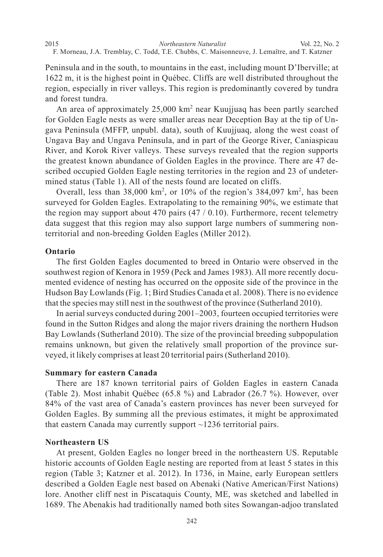*Northeastern Naturalist* 2015 Vol. 22, No. 2 F. Morneau, J.A. Tremblay, C. Todd, T.E. Chubbs, C. Maisonneuve, J. Lemaître, and T. Katzner

Peninsula and in the south, to mountains in the east, including mount D'Iberville; at 1622 m, it is the highest point in Québec. Cliffs are well distributed throughout the region, especially in river valleys. This region is predominantly covered by tundra and forest tundra.

An area of approximately 25,000 km<sup>2</sup> near Kuujjuaq has been partly searched for Golden Eagle nests as were smaller areas near Deception Bay at the tip of Ungava Peninsula (MFFP, unpubl. data), south of Kuujjuaq, along the west coast of Ungava Bay and Ungava Peninsula, and in part of the George River, Caniaspicau River, and Korok River valleys. These surveys revealed that the region supports the greatest known abundance of Golden Eagles in the province. There are 47 described occupied Golden Eagle nesting territories in the region and 23 of undetermined status (Table 1). All of the nests found are located on cliffs.

Overall, less than  $38,000 \text{ km}^2$ , or  $10\%$  of the region's  $384,097 \text{ km}^2$ , has been surveyed for Golden Eagles. Extrapolating to the remaining 90%, we estimate that the region may support about 470 pairs  $(47/0.10)$ . Furthermore, recent telemetry data suggest that this region may also support large numbers of summering nonterritorial and non-breeding Golden Eagles (Miller 2012).

## **Ontario**

 The first Golden Eagles documented to breed in Ontario were observed in the southwest region of Kenora in 1959 (Peck and James 1983). All more recently documented evidence of nesting has occurred on the opposite side of the province in the Hudson Bay Lowlands (Fig. 1; Bird Studies Canada et al. 2008). There is no evidence that the species may still nest in the southwest of the province (Sutherland 2010).

 In aerial surveys conducted during 2001–2003, fourteen occupied territories were found in the Sutton Ridges and along the major rivers draining the northern Hudson Bay Lowlands (Sutherland 2010). The size of the provincial breeding subpopulation remains unknown, but given the relatively small proportion of the province surveyed, it likely comprises at least 20 territorial pairs (Sutherland 2010).

## **Summary for eastern Canada**

 There are 187 known territorial pairs of Golden Eagles in eastern Canada (Table 2). Most inhabit Québec (65.8 %) and Labrador (26.7 %). However, over 84% of the vast area of Canada's eastern provinces has never been surveyed for Golden Eagles. By summing all the previous estimates, it might be approximated that eastern Canada may currently support ~1236 territorial pairs.

# **Northeastern US**

 At present, Golden Eagles no longer breed in the northeastern US. Reputable historic accounts of Golden Eagle nesting are reported from at least 5 states in this region (Table 3; Katzner et al. 2012). In 1736, in Maine, early European settlers described a Golden Eagle nest based on Abenaki (Native American/First Nations) lore. Another cliff nest in Piscataquis County, ME, was sketched and labelled in 1689. The Abenakis had traditionally named both sites Sowangan-adjoo translated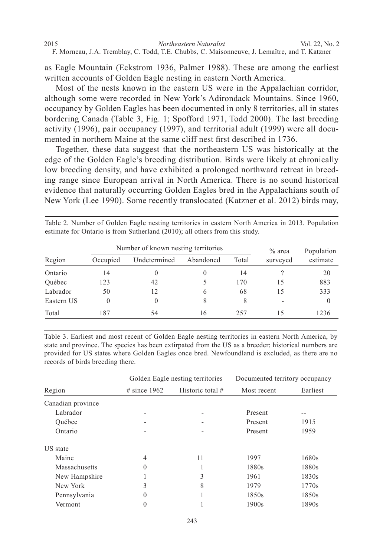*Northeastern Naturalist* Vol. 22, No. 2 F. Morneau, J.A. Tremblay, C. Todd, T.E. Chubbs, C. Maisonneuve, J. Lemaître, and T. Katzner 2015

as Eagle Mountain (Eckstrom 1936, Palmer 1988). These are among the earliest written accounts of Golden Eagle nesting in eastern North America.

 Most of the nests known in the eastern US were in the Appalachian corridor, although some were recorded in New York's Adirondack Mountains. Since 1960, occupancy by Golden Eagles has been documented in only 8 territories, all in states bordering Canada (Table 3, Fig. 1; Spofford 1971, Todd 2000). The last breeding activity (1996), pair occupancy (1997), and territorial adult (1999) were all documented in northern Maine at the same cliff nest first described in 1736.

 Together, these data suggest that the northeastern US was historically at the edge of the Golden Eagle's breeding distribution. Birds were likely at chronically low breeding density, and have exhibited a prolonged northward retreat in breeding range since European arrival in North America. There is no sound historical evidence that naturally occurring Golden Eagles bred in the Appalachians south of New York (Lee 1990). Some recently translocated (Katzner et al. 2012) birds may,

|            | Number of known nesting territories |              |           |       | $%$ area                 | Population |  |
|------------|-------------------------------------|--------------|-----------|-------|--------------------------|------------|--|
| Region     | Occupied                            | Undetermined | Abandoned | Total | surveyed                 | estimate   |  |
| Ontario    | 14                                  | 0            | $\theta$  | 14    |                          | 20         |  |
| Ouébec     | 123                                 | 42           |           | 170   | 15                       | 883        |  |
| Labrador   | 50                                  | 12           | 6         | 68    | 15                       | 333        |  |
| Eastern US | $\theta$                            | 0            | 8         |       | $\overline{\phantom{0}}$ | $\theta$   |  |
| Total      | 187                                 | 54           | 16        | 257   | 15                       | 1236       |  |

Table 2. Number of Golden Eagle nesting territories in eastern North America in 2013. Population estimate for Ontario is from Sutherland (2010); all others from this study.

Table 3. Earliest and most recent of Golden Eagle nesting territories in eastern North America, by state and province. The species has been extirpated from the US as a breeder; historical numbers are provided for US states where Golden Eagles once bred. Newfoundland is excluded, as there are no records of birds breeding there.

|                   |                 | Golden Eagle nesting territories  | Documented territory occupancy |          |  |
|-------------------|-----------------|-----------------------------------|--------------------------------|----------|--|
| Region            | $\#$ since 1962 | Historic total $#$<br>Most recent |                                | Earliest |  |
| Canadian province |                 |                                   |                                |          |  |
| Labrador          |                 | $\overline{\phantom{a}}$          | Present                        | --       |  |
| Ouébec            |                 | $\overline{\phantom{0}}$          | Present                        | 1915     |  |
| Ontario           |                 |                                   | Present                        | 1959     |  |
| US state          |                 |                                   |                                |          |  |
| Maine             | 4               | 11                                | 1997                           | 1680s    |  |
| Massachusetts     | 0               |                                   | 1880s                          | 1880s    |  |
| New Hampshire     |                 | 3                                 | 1961                           | 1830s    |  |
| New York          | 3               | 8                                 | 1979                           | 1770s    |  |
| Pennsylvania      | 0               |                                   | 1850s                          | 1850s    |  |
| Vermont           |                 |                                   | 1900s                          | 1890s    |  |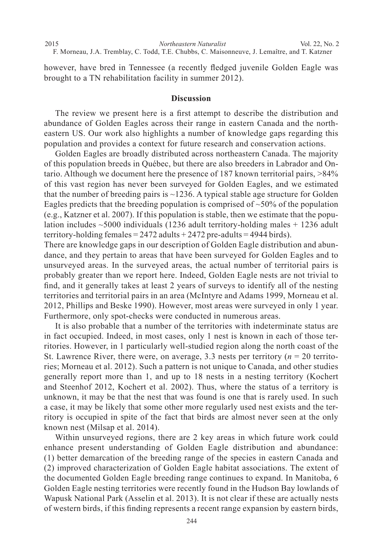*Northeastern Naturalist* 2015 Vol. 22, No. 2 F. Morneau, J.A. Tremblay, C. Todd, T.E. Chubbs, C. Maisonneuve, J. Lemaître, and T. Katzner

however, have bred in Tennessee (a recently fledged juvenile Golden Eagle was brought to a TN rehabilitation facility in summer 2012).

#### **Discussion**

 The review we present here is a first attempt to describe the distribution and abundance of Golden Eagles across their range in eastern Canada and the northeastern US. Our work also highlights a number of knowledge gaps regarding this population and provides a context for future research and conservation actions.

 Golden Eagles are broadly distributed across northeastern Canada. The majority of this population breeds in Québec, but there are also breeders in Labrador and Ontario. Although we document here the presence of 187 known territorial pairs, >84% of this vast region has never been surveyed for Golden Eagles, and we estimated that the number of breeding pairs is  $\sim$ 1236. A typical stable age structure for Golden Eagles predicts that the breeding population is comprised of  $\sim$ 50% of the population (e.g., Katzner et al. 2007). If this population is stable, then we estimate that the population includes  $\sim$  5000 individuals (1236 adult territory-holding males  $+$  1236 adult territory-holding females  $= 2472$  adults  $+ 2472$  pre-adults  $= 4944$  birds).

There are knowledge gaps in our description of Golden Eagle distribution and abundance, and they pertain to areas that have been surveyed for Golden Eagles and to unsurveyed areas. In the surveyed areas, the actual number of territorial pairs is probably greater than we report here. Indeed, Golden Eagle nests are not trivial to find, and it generally takes at least 2 years of surveys to identify all of the nesting territories and territorial pairs in an area (McIntyre and Adams 1999, Morneau et al. 2012, Phillips and Beske 1990). However, most areas were surveyed in only 1 year. Furthermore, only spot-checks were conducted in numerous areas.

 It is also probable that a number of the territories with indeterminate status are in fact occupied. Indeed, in most cases, only 1 nest is known in each of those territories. However, in 1 particularly well-studied region along the north coast of the St. Lawrence River, there were, on average, 3.3 nests per territory ( $n = 20$  territories; Morneau et al. 2012). Such a pattern is not unique to Canada, and other studies generally report more than 1, and up to 18 nests in a nesting territory (Kochert and Steenhof 2012, Kochert et al. 2002). Thus, where the status of a territory is unknown, it may be that the nest that was found is one that is rarely used. In such a case, it may be likely that some other more regularly used nest exists and the territory is occupied in spite of the fact that birds are almost never seen at the only known nest (Milsap et al. 2014).

 Within unsurveyed regions, there are 2 key areas in which future work could enhance present understanding of Golden Eagle distribution and abundance: (1) better demarcation of the breeding range of the species in eastern Canada and (2) improved characterization of Golden Eagle habitat associations. The extent of the documented Golden Eagle breeding range continues to expand. In Manitoba, 6 Golden Eagle nesting territories were recently found in the Hudson Bay lowlands of Wapusk National Park (Asselin et al. 2013). It is not clear if these are actually nests of western birds, if this finding represents a recent range expansion by eastern birds,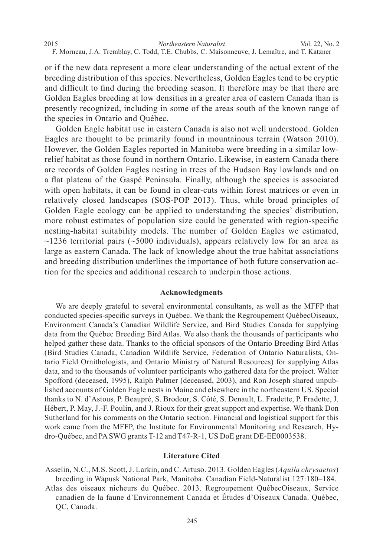*Northeastern Naturalist* Vol. 22, No. 2 F. Morneau, J.A. Tremblay, C. Todd, T.E. Chubbs, C. Maisonneuve, J. Lemaître, and T. Katzner 2015

or if the new data represent a more clear understanding of the actual extent of the breeding distribution of this species. Nevertheless, Golden Eagles tend to be cryptic and difficult to find during the breeding season. It therefore may be that there are Golden Eagles breeding at low densities in a greater area of eastern Canada than is presently recognized, including in some of the areas south of the known range of the species in Ontario and Québec.

 Golden Eagle habitat use in eastern Canada is also not well understood. Golden Eagles are thought to be primarily found in mountainous terrain (Watson 2010). However, the Golden Eagles reported in Manitoba were breeding in a similar lowrelief habitat as those found in northern Ontario. Likewise, in eastern Canada there are records of Golden Eagles nesting in trees of the Hudson Bay lowlands and on a flat plateau of the Gaspé Peninsula. Finally, although the species is associated with open habitats, it can be found in clear-cuts within forest matrices or even in relatively closed landscapes (SOS-POP 2013). Thus, while broad principles of Golden Eagle ecology can be applied to understanding the species' distribution, more robust estimates of population size could be generated with region-specific nesting-habitat suitability models. The number of Golden Eagles we estimated,  $\sim$ 1236 territorial pairs ( $\sim$ 5000 individuals), appears relatively low for an area as large as eastern Canada. The lack of knowledge about the true habitat associations and breeding distribution underlines the importance of both future conservation action for the species and additional research to underpin those actions.

#### **Acknowledgments**

 We are deeply grateful to several environmental consultants, as well as the MFFP that conducted species-specific surveys in Québec. We thank the Regroupement QuébecOiseaux, Environment Canada's Canadian Wildlife Service, and Bird Studies Canada for supplying data from the Québec Breeding Bird Atlas. We also thank the thousands of participants who helped gather these data. Thanks to the official sponsors of the Ontario Breeding Bird Atlas (Bird Studies Canada, Canadian Wildlife Service, Federation of Ontario Naturalists, Ontario Field Ornithologists, and Ontario Ministry of Natural Resources) for supplying Atlas data, and to the thousands of volunteer participants who gathered data for the project. Walter Spofford (deceased, 1995), Ralph Palmer (deceased, 2003), and Ron Joseph shared unpublished accounts of Golden Eagle nests in Maine and elsewhere in the northeastern US. Special thanks to N. d'Astous, P. Beaupré, S. Brodeur, S. Côté, S. Denault, L. Fradette, P. Fradette, J. Hébert, P. May, J.-F. Poulin, and J. Rioux for their great support and expertise. We thank Don Sutherland for his comments on the Ontario section. Financial and logistical support for this work came from the MFFP, the Institute for Environmental Monitoring and Research, Hydro-Québec, and PA SWG grants T-12 and T47-R-1, US DoE grant DE-EE0003538.

#### **Literature Cited**

Atlas des oiseaux nicheurs du Québec. 2013. Regroupement QuébecOiseaux, Service canadien de la faune d'Environnement Canada et Études d'Oiseaux Canada. Québec, QC, Canada.

Asselin, N.C., M.S. Scott, J. Larkin, and C. Artuso. 2013. Golden Eagles (*Aquila chrysaetos*) breeding in Wapusk National Park, Manitoba. Canadian Field-Naturalist 127:180–184.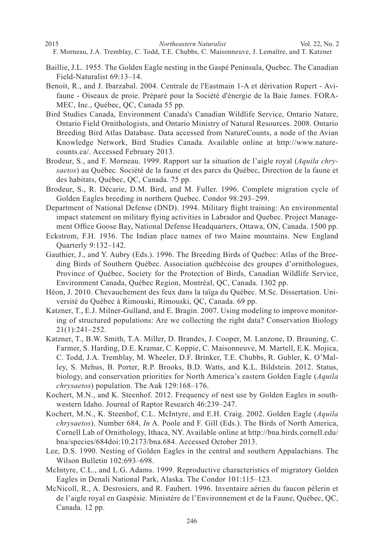F. Morneau, J.A. Tremblay, C. Todd, T.E. Chubbs, C. Maisonneuve, J. Lemaître, and T. Katzner

- Baillie, J.L. 1955. The Golden Eagle nesting in the Gaspé Peninsula, Quebec. The Canadian Field-Naturalist 69:13–14.
- Benoit, R., and J. Ibarzabal. 2004. Centrale de l'Eastmain 1-A et dérivation Rupert Avifaune - Oiseaux de proie. Préparé pour la Société d'énergie de la Baie James. FORA-MEC, Inc., Québec, QC, Canada 55 pp.
- Bird Studies Canada, Environment Canada's Canadian Wildlife Service, Ontario Nature, Ontario Field Ornithologists, and Ontario Ministry of Natural Resources. 2008. Ontario Breeding Bird Atlas Database. Data accessed from NatureCounts, a node of the Avian Knowledge Network, Bird Studies Canada. Available online at http://www.naturecounts.ca/. Accessed February 2013.
- Brodeur, S., and F. Morneau. 1999. Rapport sur la situation de l'aigle royal (*Aquila chrysaetos*) au Québec. Société de la faune et des parcs du Québec, Direction de la faune et des habitats, Québec, QC, Canada. 75 pp.
- Brodeur, S., R. Décarie, D.M. Bird, and M. Fuller. 1996. Complete migration cycle of Golden Eagles breeding in northern Quebec. Condor 98:293–299.
- Department of National Defense (DND). 1994. Military flight training: An environmental impact statement on military flying activities in Labrador and Quebec. Project Management Office Goose Bay, National Defense Headquarters, Ottawa, ON, Canada. 1500 pp.
- Eckstrom, F.H. 1936. The Indian place names of two Maine mountains. New England Quarterly 9:132–142.
- Gauthier, J., and Y. Aubry (Eds.). 1996. The Breeding Birds of Québec: Atlas of the Breeding Birds of Southern Québec. Association québécoise des groupes d'ornithologues, Province of Québec, Society for the Protection of Birds, Canadian Wildlife Service, Environment Canada, Québec Region, Montréal, QC, Canada. 1302 pp.
- Héon, J. 2010. Chevauchement des feux dans la taïga du Québec. M.Sc. Dissertation. Université du Québec à Rimouski, Rimouski, QC, Canada. 69 pp.
- Katzner, T., E.J. Milner-Gulland, and E. Bragin. 2007. Using modeling to improve monitoring of structured populations: Are we collecting the right data? Conservation Biology 21(1):241–252.
- Katzner, T., B.W. Smith, T.A. Miller, D. Brandes, J. Cooper, M. Lanzone, D. Brauning, C. Farmer, S. Harding, D.E. Kramar, C. Koppie, C. Maisonneuve, M. Martell, E.K. Mojica, C. Todd, J.A. Tremblay, M. Wheeler, D.F. Brinker, T.E. Chubbs, R. Gubler, K. O'Malley, S. Mehus, B. Porter, R.P. Brooks, B.D. Watts, and K.L. Bildstein. 2012. Status, biology, and conservation priorities for North America's eastern Golden Eagle (*Aquila chrysaetos*) population. The Auk 129:168–176.
- Kochert, M.N., and K. Steenhof. 2012. Frequency of nest use by Golden Eagles in southwestern Idaho. Journal of Raptor Research 46:239–247.
- Kochert, M.N., K. Steenhof, C.L. McIntyre, and E.H. Craig. 2002. Golden Eagle (*Aquila chrysaetos*). Number 684, *In* A. Poole and F. Gill (Eds.). The Birds of North America, Cornell Lab of Ornithology, Ithaca, NY. Available online at http://bna.birds.cornell.edu/ bna/species/684doi:10.2173/bna.684. Accessed October 2013.
- Lee, D.S. 1990. Nesting of Golden Eagles in the central and southern Appalachians. The Wilson Bulletin 102:693–698.
- McIntyre, C.L., and L.G. Adams. 1999. Reproductive characteristics of migratory Golden Eagles in Denali National Park, Alaska. The Condor 101:115–123.
- McNicoll, R., A. Desrosiers, and R. Faubert. 1996. Inventaire aérien du faucon pèlerin et de l'aigle royal en Gaspésie. Ministère de l'Environnement et de la Faune, Québec, QC, Canada. 12 pp.